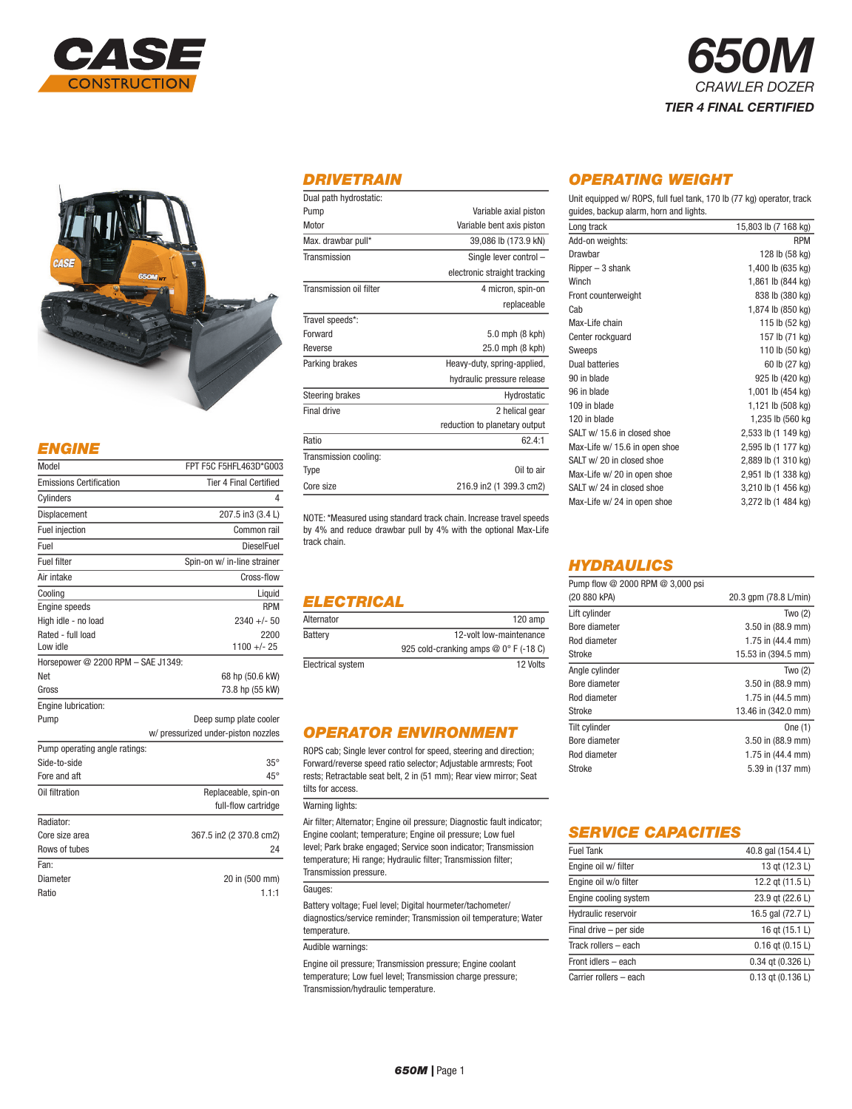



## *ENGINE*

| Model                              | FPT F5C F5HFL463D*G003              |
|------------------------------------|-------------------------------------|
| <b>Emissions Certification</b>     | <b>Tier 4 Final Certified</b>       |
| Cylinders                          | 4                                   |
| Displacement                       | 207.5 in3 (3.4 L)                   |
| Fuel injection                     | Common rail                         |
| Fuel                               | <b>DieselFuel</b>                   |
| <b>Fuel filter</b>                 | Spin-on w/ in-line strainer         |
| Air intake                         | Cross-flow                          |
| Cooling                            | Liquid                              |
| <b>Engine speeds</b>               | <b>RPM</b>                          |
| High idle - no load                | $2340 +/- 50$                       |
| Rated - full load                  | 2200                                |
| Low idle                           | $1100 +/- 25$                       |
| Horsepower @ 2200 RPM - SAE J1349: |                                     |
| Net                                | 68 hp (50.6 kW)                     |
| Gross                              | 73.8 hp (55 kW)                     |
| Engine lubrication:                |                                     |
| Pump                               | Deep sump plate cooler              |
|                                    | w/ pressurized under-piston nozzles |
| Pump operating angle ratings:      |                                     |
| Side-to-side                       | $35^\circ$                          |
| Fore and aft                       | $45^{\circ}$                        |
| Oil filtration                     | Replaceable, spin-on                |
|                                    | full-flow cartridge                 |
| Radiator:                          |                                     |
| Core size area                     | 367.5 in2 (2 370.8 cm2)             |
| Rows of tubes                      | 24                                  |
| Fan:                               |                                     |
| Diameter                           | 20 in (500 mm)                      |
| Ratio                              | 1.1:1                               |

### *DRIVETRAIN*

| Dual path hydrostatic:  |                               |
|-------------------------|-------------------------------|
| Pump                    | Variable axial piston         |
| Motor                   | Variable bent axis piston     |
| Max. drawbar pull*      | 39,086 lb (173.9 kN)          |
| Transmission            | Single lever control -        |
|                         | electronic straight tracking  |
| Transmission oil filter | 4 micron, spin-on             |
|                         | replaceable                   |
| Travel speeds*:         |                               |
| Forward                 | 5.0 mph (8 kph)               |
| Reverse                 | 25.0 mph (8 kph)              |
| Parking brakes          | Heavy-duty, spring-applied,   |
|                         | hydraulic pressure release    |
| <b>Steering brakes</b>  | Hydrostatic                   |
| Final drive             | 2 helical gear                |
|                         | reduction to planetary output |
| Ratio                   | 62.4:1                        |
| Transmission cooling:   |                               |
| Type                    | Oil to air                    |
| Core size               | 216.9 in2 (1 399.3 cm2)       |
|                         |                               |

NOTE: \*Measured using standard track chain. Increase travel speeds by 4% and reduce drawbar pull by 4% with the optional Max-Life track chain.

## *ELECTRICAL*

| Alternator        | $120$ amp                              |
|-------------------|----------------------------------------|
| Battery           | 12-volt low-maintenance                |
|                   | 925 cold-cranking amps $@0°$ F (-18 C) |
| Electrical system | 12 Volts                               |

## *OPERATOR ENVIRONMENT*

ROPS cab; Single lever control for speed, steering and direction; Forward/reverse speed ratio selector; Adjustable armrests; Foot rests; Retractable seat belt, 2 in (51 mm); Rear view mirror; Seat tilts for access.

#### Warning lights:

Air filter; Alternator; Engine oil pressure; Diagnostic fault indicator; Engine coolant; temperature; Engine oil pressure; Low fuel level; Park brake engaged; Service soon indicator; Transmission temperature; Hi range; Hydraulic filter; Transmission filter; Transmission pressure.

#### Gauges:

Battery voltage; Fuel level; Digital hourmeter/tachometer/ diagnostics/service reminder; Transmission oil temperature; Water temperature.

#### Audible warnings:

Engine oil pressure; Transmission pressure; Engine coolant temperature; Low fuel level; Transmission charge pressure; Transmission/hydraulic temperature.

## *OPERATING WEIGHT*

Unit equipped w/ ROPS, full fuel tank, 170 lb (77 kg) operator, track guides, backup alarm, horn and lights.

*650M*

*CRAWLER DOZER TIER 4 FINAL CERTIFIED*

| Long track                    | 15,803 lb (7 168 kg) |
|-------------------------------|----------------------|
| Add-on weights:               | <b>RPM</b>           |
| Drawbar                       | 128 lb (58 kg)       |
| $Ripper-3 shank$              | 1,400 lb (635 kg)    |
| Winch                         | 1,861 lb (844 kg)    |
| Front counterweight           | 838 lb (380 kg)      |
| Cab                           | 1,874 lb (850 kg)    |
| Max-Life chain                | 115 lb (52 kg)       |
| Center rockguard              | 157 lb (71 kg)       |
| Sweeps                        | 110 lb (50 kg)       |
| Dual batteries                | 60 lb (27 kg)        |
| 90 in blade                   | 925 lb (420 kg)      |
| 96 in blade                   | 1,001 lb (454 kg)    |
| 109 in blade                  | 1,121 lb (508 kg)    |
| 120 in blade                  | 1,235 lb (560 kg     |
| SALT w/ 15.6 in closed shoe   | 2,533 lb (1 149 kg)  |
| Max-Life w/ 15.6 in open shoe | 2,595 lb (1 177 kg)  |
| SALT w/ 20 in closed shoe     | 2,889 lb (1 310 kg)  |
| Max-Life w/ 20 in open shoe   | 2,951 lb (1 338 kg)  |
| SALT w/ 24 in closed shoe     | 3,210 lb (1 456 kg)  |
| Max-Life w/ 24 in open shoe   | 3,272 lb (1 484 kg)  |

### *HYDRAULICS*

| Pump flow @ 2000 RPM @ 3,000 psi |                             |
|----------------------------------|-----------------------------|
| (20 880 kPA)                     | 20.3 gpm (78.8 L/min)       |
| Lift cylinder                    | Two $(2)$                   |
| Bore diameter                    | $3.50$ in $(88.9$ mm)       |
| Rod diameter                     | 1.75 in $(44.4 \text{ mm})$ |
| Stroke                           | 15.53 in (394.5 mm)         |
| Angle cylinder                   | Two $(2)$                   |
| Bore diameter                    | $3.50$ in $(88.9$ mm)       |
| Rod diameter                     | 1.75 in $(44.5$ mm)         |
| Stroke                           | 13.46 in (342.0 mm)         |
| Tilt cylinder                    | One $(1)$                   |
| Bore diameter                    | $3.50$ in $(88.9$ mm)       |
| Rod diameter                     | 1.75 in $(44.4 \text{ mm})$ |
| Stroke                           | 5.39 in (137 mm)            |

### *SERVICE CAPACITIES*

| <b>Fuel Tank</b>       | 40.8 gal (154.4 L)    |
|------------------------|-----------------------|
| Engine oil w/ filter   | 13 gt (12.3 L)        |
| Engine oil w/o filter  | 12.2 gt (11.5 L)      |
| Engine cooling system  | 23.9 gt (22.6 L)      |
| Hydraulic reservoir    | 16.5 gal (72.7 L)     |
| Final drive - per side | 16 gt (15.1 L)        |
| Track rollers - each   | $0.16$ gt $(0.15 L)$  |
| Front idlers - each    | $0.34$ gt $(0.326 L)$ |
| Carrier rollers - each | $0.13$ gt $(0.136 L)$ |

#### *650M |* Page 1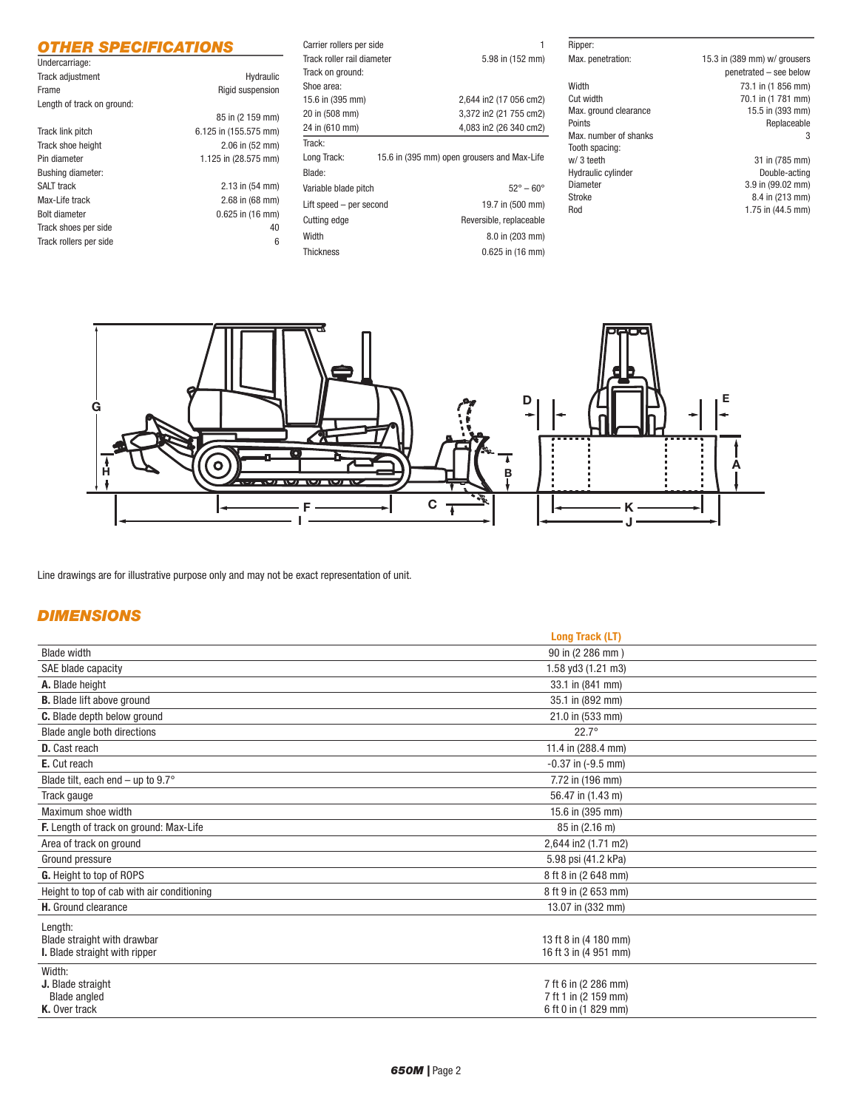### *OTHER SPECIFICATIONS*

÷.

| Undercarriage:             |                       |
|----------------------------|-----------------------|
| Track adjustment           | Hydraulic             |
| Frame                      | Rigid suspension      |
| Length of track on ground: |                       |
|                            | 85 in (2 159 mm)      |
| Track link pitch           | 6.125 in (155.575 mm) |
| Track shoe height          | $2.06$ in $(52$ mm)   |
| Pin diameter               | 1.125 in (28.575 mm)  |
| <b>Bushing diameter:</b>   |                       |
| <b>SALT track</b>          | $2.13$ in $(54$ mm)   |
| Max-Life track             | $2.68$ in $(68$ mm)   |
| <b>Bolt diameter</b>       | $0.625$ in $(16$ mm)  |
| Track shoes per side       | 40                    |
| Track rollers per side     | 6                     |

| Carrier rollers per side   |                                             |
|----------------------------|---------------------------------------------|
| Track roller rail diameter | 5.98 in (152 mm)                            |
| Track on ground:           |                                             |
| Shoe area:                 |                                             |
| 15.6 in (395 mm)           | 2,644 in2 (17 056 cm2)                      |
| 20 in (508 mm)             | 3,372 in2 (21 755 cm2)                      |
| 24 in (610 mm)             | 4,083 in2 (26 340 cm2)                      |
| Track:                     |                                             |
| Long Track:                | 15.6 in (395 mm) open grousers and Max-Life |
| Blade:                     |                                             |
| Variable blade pitch       | $52^{\circ} - 60^{\circ}$                   |
| Lift speed - per second    | 19.7 in (500 mm)                            |
| Cutting edge               | Reversible, replaceable                     |
| Width                      | 8.0 in (203 mm)                             |
| <b>Thickness</b>           | $0.625$ in $(16 \text{ mm})$                |

# Width 73.1 in (1 856 mm) Cut width 70.1 in (1 781 mm) Max. ground clearance 15.5 in (393 mm)<br>Points Replaceable Max. number of shanks Tooth spacing:<br>w/3 teeth Hydraulic cylinder<br>Diameter Diameter 3.9 in (99.02 mm)<br>Stroke 8.4 in (213 mm) Rod 1.75 in (44.5 mm)

Ripper:

Max. penetration: 15.3 in (389 mm) w/ grousers penetrated – see below Replaceable<br>3

> 31 in (785 mm)<br>Double-acting  $8.4$  in (213 mm)



Line drawings are for illustrative purpose only and may not be exact representation of unit.

## *DIMENSIONS*

|                                                                         | <b>Long Track (LT)</b>                                               |
|-------------------------------------------------------------------------|----------------------------------------------------------------------|
| <b>Blade width</b>                                                      | 90 in (2 286 mm)                                                     |
| SAE blade capacity                                                      | 1.58 yd3 (1.21 m3)                                                   |
| A. Blade height                                                         | 33.1 in (841 mm)                                                     |
| <b>B.</b> Blade lift above ground                                       | 35.1 in (892 mm)                                                     |
| <b>C.</b> Blade depth below ground                                      | 21.0 in (533 mm)                                                     |
| Blade angle both directions                                             | $22.7^\circ$                                                         |
| D. Cast reach                                                           | 11.4 in (288.4 mm)                                                   |
| E. Cut reach                                                            | $-0.37$ in $(-9.5$ mm)                                               |
| Blade tilt, each end – up to $9.7^\circ$                                | 7.72 in (196 mm)                                                     |
| Track gauge                                                             | 56.47 in (1.43 m)                                                    |
| Maximum shoe width                                                      | 15.6 in (395 mm)                                                     |
| F. Length of track on ground: Max-Life                                  | 85 in (2.16 m)                                                       |
| Area of track on ground                                                 | 2,644 in2 (1.71 m2)                                                  |
| Ground pressure                                                         | 5.98 psi (41.2 kPa)                                                  |
| <b>G.</b> Height to top of ROPS                                         | 8 ft 8 in (2 648 mm)                                                 |
| Height to top of cab with air conditioning                              | 8 ft 9 in (2 653 mm)                                                 |
| H. Ground clearance                                                     | 13.07 in (332 mm)                                                    |
| Length:<br>Blade straight with drawbar<br>I. Blade straight with ripper | 13 ft 8 in (4 180 mm)<br>16 ft 3 in (4 951 mm)                       |
| Width:<br>J. Blade straight<br><b>Blade angled</b><br>K. Over track     | 7 ft 6 in (2 286 mm)<br>7 ft 1 in (2 159 mm)<br>6 ft 0 in (1 829 mm) |